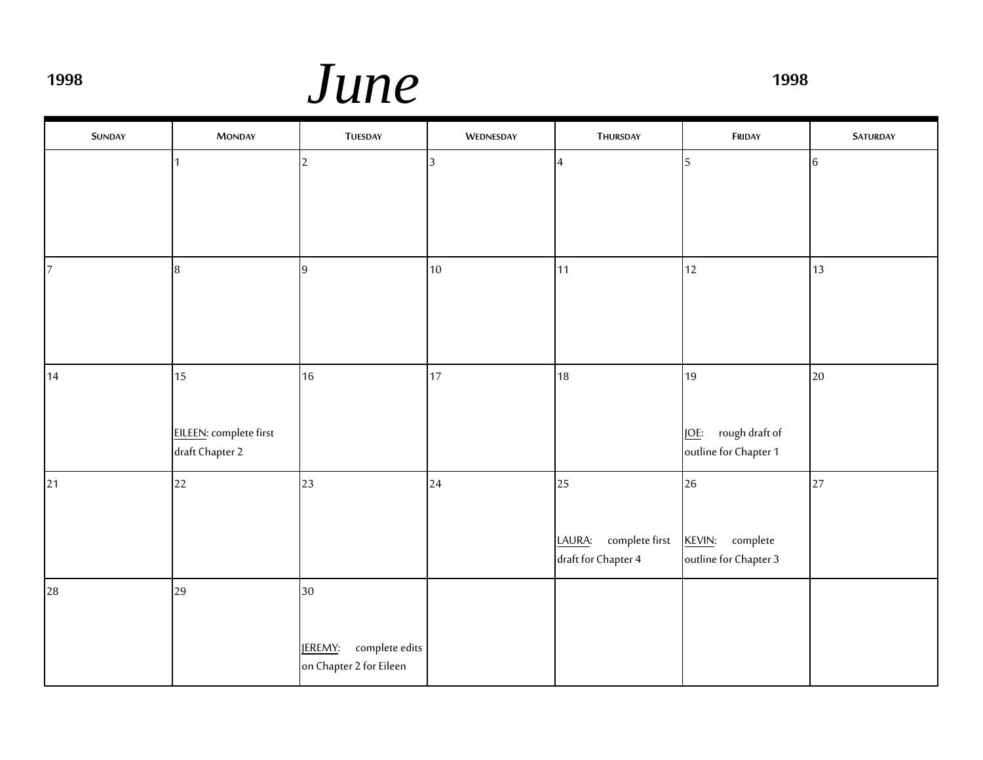**<sup>1998</sup>** *June* **<sup>1998</sup>**

| <b>SUNDAY</b>  | <b>MONDAY</b>                                   | <b>TUESDAY</b>                                             | WEDNESDAY      | THURSDAY                                              | FRIDAY                                                       | <b>SATURDAY</b> |
|----------------|-------------------------------------------------|------------------------------------------------------------|----------------|-------------------------------------------------------|--------------------------------------------------------------|-----------------|
|                |                                                 | $\overline{2}$                                             | $\overline{3}$ | $\overline{4}$                                        | 5                                                            | 6               |
| $\overline{7}$ | 8                                               | 9                                                          | 10             | 11                                                    | 12                                                           | 13              |
| 14             | 15<br>EILEEN: complete first<br>draft Chapter 2 | 16                                                         | 17             | 18                                                    | 19<br>rough draft of<br><u>JOE:</u><br>outline for Chapter 1 | 20              |
| 21             | 22                                              | 23                                                         | 24             | 25<br>complete first<br>LAURA:<br>draft for Chapter 4 | 26<br>complete<br><b>KEVIN:</b><br>outline for Chapter 3     | 27              |
| 28             | 29                                              | 30<br>complete edits<br>JEREMY:<br>on Chapter 2 for Eileen |                |                                                       |                                                              |                 |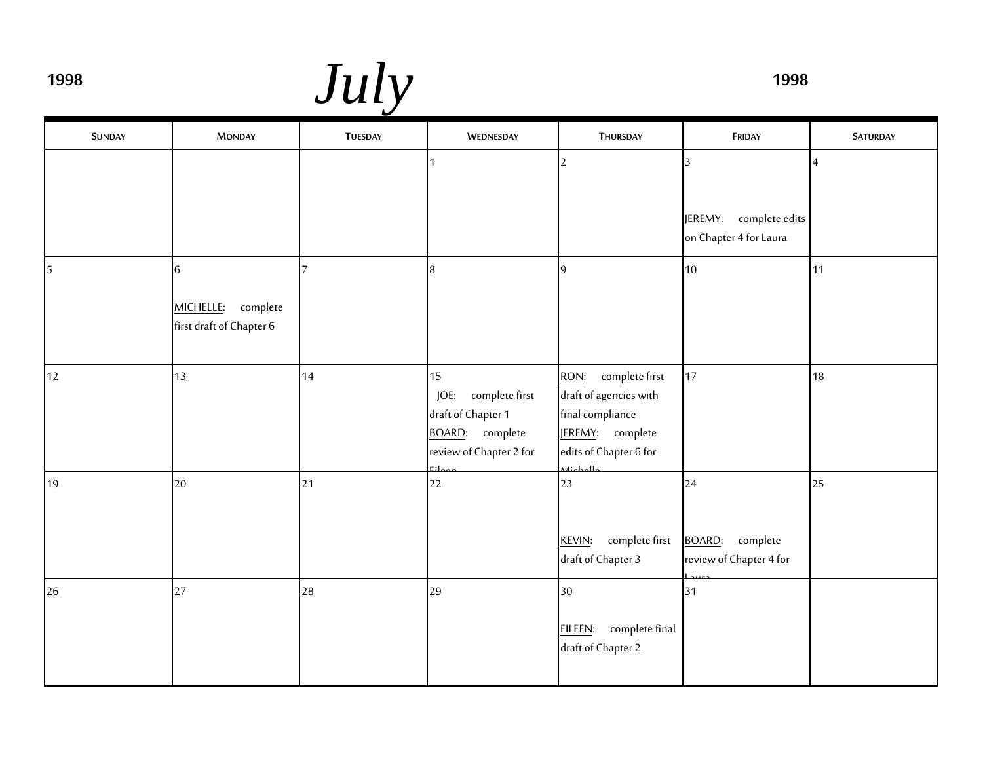**<sup>1998</sup>** *July* **<sup>1998</sup>**

| <b>SUNDAY</b> | <b>MONDAY</b>                                          | <b>TUESDAY</b> | WEDNESDAY                                                                                                      | THURSDAY                                                                                                                               | FRIDAY                                                                | <b>SATURDAY</b> |
|---------------|--------------------------------------------------------|----------------|----------------------------------------------------------------------------------------------------------------|----------------------------------------------------------------------------------------------------------------------------------------|-----------------------------------------------------------------------|-----------------|
|               |                                                        |                |                                                                                                                | $\overline{2}$                                                                                                                         | $\overline{3}$<br>complete edits<br>JEREMY:<br>on Chapter 4 for Laura | $\overline{4}$  |
| 5             | 6<br>MICHELLE:<br>complete<br>first draft of Chapter 6 | $\overline{7}$ | 8                                                                                                              | $\overline{9}$                                                                                                                         | 10                                                                    | 11              |
| 12            | 13                                                     | 14             | 15<br>complete first<br><b>JOE:</b><br>draft of Chapter 1<br><b>BOARD:</b> complete<br>review of Chapter 2 for | complete first<br>RON:<br>draft of agencies with<br>final compliance<br><b>JEREMY:</b> complete<br>edits of Chapter 6 for<br>بالممامنة | 17                                                                    | 18              |
| 19            | 20                                                     | 21             | 22                                                                                                             | 23<br>complete first<br>KEVIN:<br>draft of Chapter 3                                                                                   | 24<br><b>BOARD:</b><br>complete<br>review of Chapter 4 for            | 25              |
| 26            | 27                                                     | 28             | 29                                                                                                             | 30<br>complete final<br>EILEEN:<br>draft of Chapter 2                                                                                  | 31                                                                    |                 |